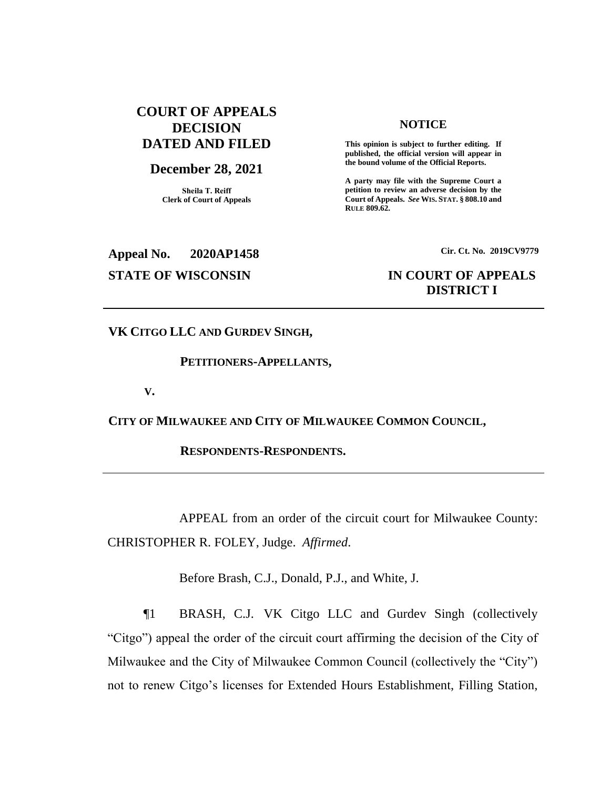# **COURT OF APPEALS DECISION DATED AND FILED**

# **December 28, 2021**

**Sheila T. Reiff Clerk of Court of Appeals**

#### **NOTICE**

**This opinion is subject to further editing. If published, the official version will appear in the bound volume of the Official Reports.** 

**A party may file with the Supreme Court a petition to review an adverse decision by the Court of Appeals.** *See* **WIS. STAT. § 808.10 and RULE 809.62.** 

# **Appeal No. 2020AP1458 Cir. Ct. No. 2019CV9779**

# **STATE OF WISCONSIN IN COURT OF APPEALS DISTRICT I**

**VK CITGO LLC AND GURDEV SINGH,**

### **PETITIONERS-APPELLANTS,**

**V.**

**CITY OF MILWAUKEE AND CITY OF MILWAUKEE COMMON COUNCIL,**

**RESPONDENTS-RESPONDENTS.**

APPEAL from an order of the circuit court for Milwaukee County: CHRISTOPHER R. FOLEY, Judge. *Affirmed*.

Before Brash, C.J., Donald, P.J., and White, J.

¶1 BRASH, C.J. VK Citgo LLC and Gurdev Singh (collectively "Citgo") appeal the order of the circuit court affirming the decision of the City of Milwaukee and the City of Milwaukee Common Council (collectively the "City") not to renew Citgo's licenses for Extended Hours Establishment, Filling Station,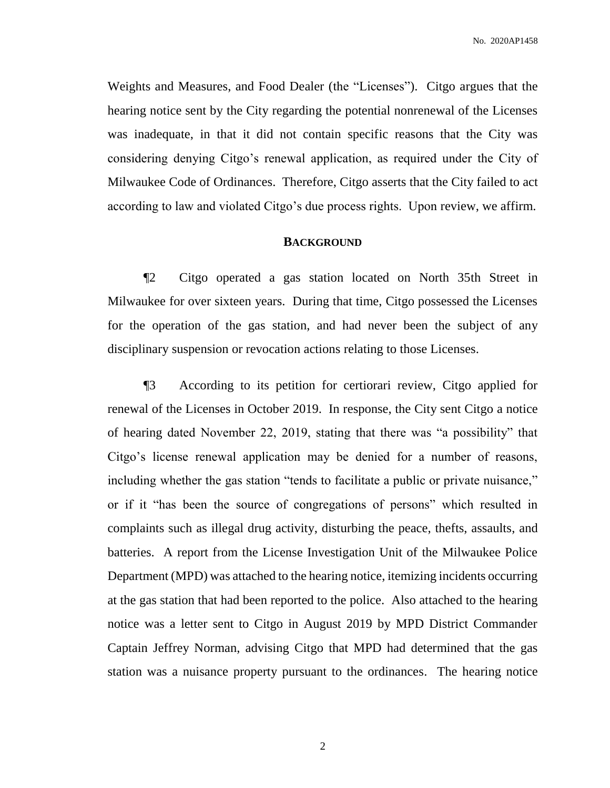Weights and Measures, and Food Dealer (the "Licenses"). Citgo argues that the hearing notice sent by the City regarding the potential nonrenewal of the Licenses was inadequate, in that it did not contain specific reasons that the City was considering denying Citgo's renewal application, as required under the City of Milwaukee Code of Ordinances. Therefore, Citgo asserts that the City failed to act according to law and violated Citgo's due process rights. Upon review, we affirm.

#### **BACKGROUND**

¶2 Citgo operated a gas station located on North 35th Street in Milwaukee for over sixteen years. During that time, Citgo possessed the Licenses for the operation of the gas station, and had never been the subject of any disciplinary suspension or revocation actions relating to those Licenses.

¶3 According to its petition for certiorari review, Citgo applied for renewal of the Licenses in October 2019. In response, the City sent Citgo a notice of hearing dated November 22, 2019, stating that there was "a possibility" that Citgo's license renewal application may be denied for a number of reasons, including whether the gas station "tends to facilitate a public or private nuisance," or if it "has been the source of congregations of persons" which resulted in complaints such as illegal drug activity, disturbing the peace, thefts, assaults, and batteries. A report from the License Investigation Unit of the Milwaukee Police Department (MPD) was attached to the hearing notice, itemizing incidents occurring at the gas station that had been reported to the police. Also attached to the hearing notice was a letter sent to Citgo in August 2019 by MPD District Commander Captain Jeffrey Norman, advising Citgo that MPD had determined that the gas station was a nuisance property pursuant to the ordinances. The hearing notice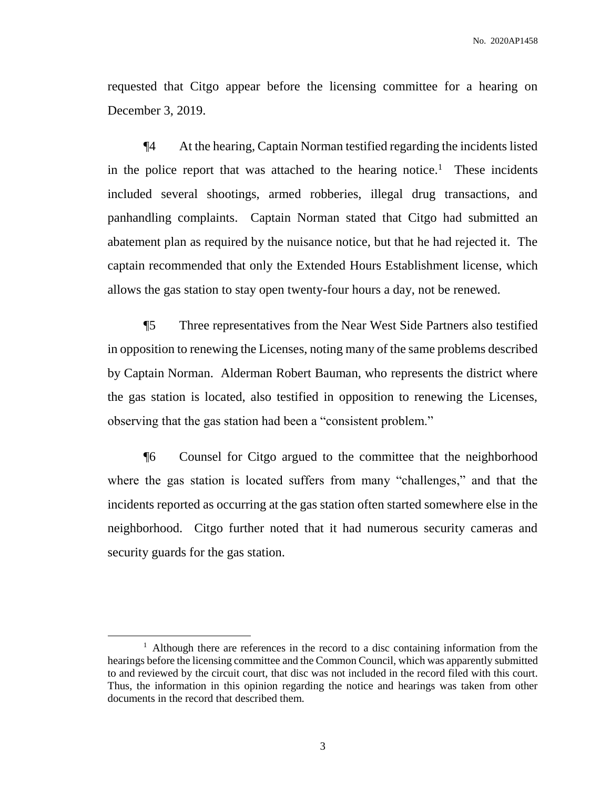requested that Citgo appear before the licensing committee for a hearing on December 3, 2019.

¶4 At the hearing, Captain Norman testified regarding the incidents listed in the police report that was attached to the hearing notice.<sup>1</sup> These incidents included several shootings, armed robberies, illegal drug transactions, and panhandling complaints. Captain Norman stated that Citgo had submitted an abatement plan as required by the nuisance notice, but that he had rejected it. The captain recommended that only the Extended Hours Establishment license, which allows the gas station to stay open twenty-four hours a day, not be renewed.

¶5 Three representatives from the Near West Side Partners also testified in opposition to renewing the Licenses, noting many of the same problems described by Captain Norman. Alderman Robert Bauman, who represents the district where the gas station is located, also testified in opposition to renewing the Licenses, observing that the gas station had been a "consistent problem."

¶6 Counsel for Citgo argued to the committee that the neighborhood where the gas station is located suffers from many "challenges," and that the incidents reported as occurring at the gas station often started somewhere else in the neighborhood. Citgo further noted that it had numerous security cameras and security guards for the gas station.

 $\overline{a}$ 

<sup>&</sup>lt;sup>1</sup> Although there are references in the record to a disc containing information from the hearings before the licensing committee and the Common Council, which was apparently submitted to and reviewed by the circuit court, that disc was not included in the record filed with this court. Thus, the information in this opinion regarding the notice and hearings was taken from other documents in the record that described them.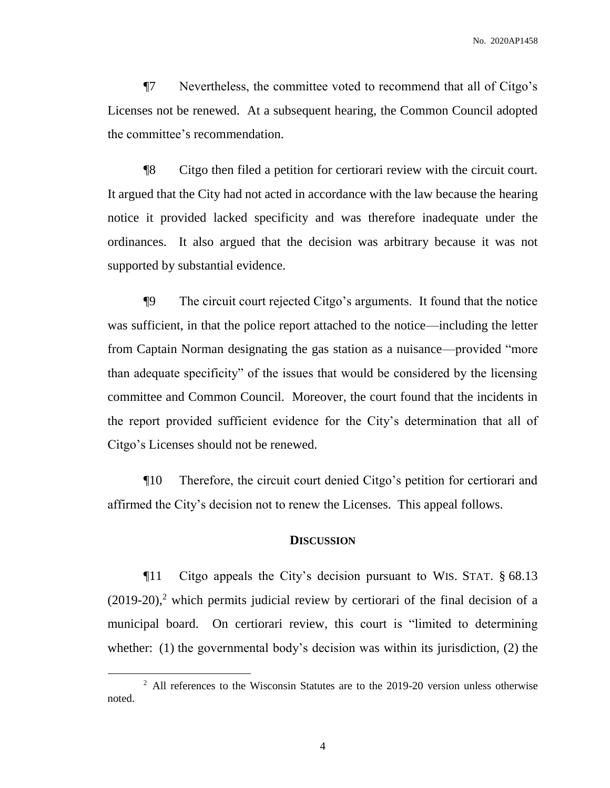¶7 Nevertheless, the committee voted to recommend that all of Citgo's Licenses not be renewed. At a subsequent hearing, the Common Council adopted the committee's recommendation.

¶8 Citgo then filed a petition for certiorari review with the circuit court. It argued that the City had not acted in accordance with the law because the hearing notice it provided lacked specificity and was therefore inadequate under the ordinances. It also argued that the decision was arbitrary because it was not supported by substantial evidence.

¶9 The circuit court rejected Citgo's arguments. It found that the notice was sufficient, in that the police report attached to the notice—including the letter from Captain Norman designating the gas station as a nuisance—provided "more than adequate specificity" of the issues that would be considered by the licensing committee and Common Council. Moreover, the court found that the incidents in the report provided sufficient evidence for the City's determination that all of Citgo's Licenses should not be renewed.

¶10 Therefore, the circuit court denied Citgo's petition for certiorari and affirmed the City's decision not to renew the Licenses. This appeal follows.

#### **DISCUSSION**

¶11 Citgo appeals the City's decision pursuant to WIS. STAT. § 68.13 (2019-20), <sup>2</sup> which permits judicial review by certiorari of the final decision of a municipal board. On certiorari review, this court is "limited to determining whether: (1) the governmental body's decision was within its jurisdiction, (2) the

 $\overline{a}$ 

<sup>&</sup>lt;sup>2</sup> All references to the Wisconsin Statutes are to the 2019-20 version unless otherwise noted.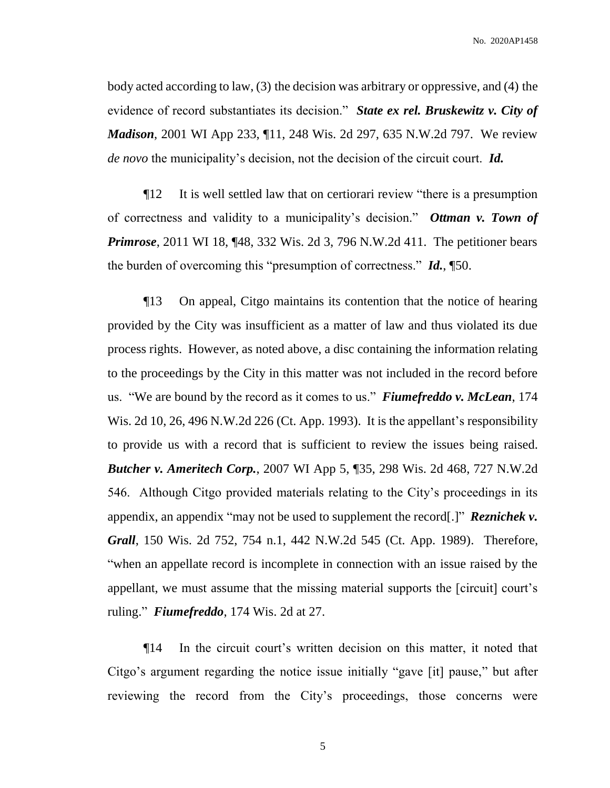body acted according to law, (3) the decision was arbitrary or oppressive, and (4) the evidence of record substantiates its decision." *State ex rel. Bruskewitz v. City of Madison*, 2001 WI App 233, ¶11, 248 Wis. 2d 297, 635 N.W.2d 797. We review *de novo* the municipality's decision, not the decision of the circuit court. *Id.*

¶12 It is well settled law that on certiorari review "there is a presumption of correctness and validity to a municipality's decision." *Ottman v. Town of Primrose*, 2011 WI 18, ¶48, 332 Wis. 2d 3, 796 N.W.2d 411. The petitioner bears the burden of overcoming this "presumption of correctness." *Id.*, ¶50.

¶13 On appeal, Citgo maintains its contention that the notice of hearing provided by the City was insufficient as a matter of law and thus violated its due process rights. However, as noted above, a disc containing the information relating to the proceedings by the City in this matter was not included in the record before us. "We are bound by the record as it comes to us." *Fiumefreddo v. McLean*, 174 Wis. 2d 10, 26, 496 N.W.2d 226 (Ct. App. 1993). It is the appellant's responsibility to provide us with a record that is sufficient to review the issues being raised. *Butcher v. Ameritech Corp.*, 2007 WI App 5, ¶35, 298 Wis. 2d 468, 727 N.W.2d 546. Although Citgo provided materials relating to the City's proceedings in its appendix, an appendix "may not be used to supplement the record[.]" *Reznichek v. Grall*, 150 Wis. 2d 752, 754 n.1, 442 N.W.2d 545 (Ct. App. 1989). Therefore, "when an appellate record is incomplete in connection with an issue raised by the appellant, we must assume that the missing material supports the [circuit] court's ruling." *Fiumefreddo*, 174 Wis. 2d at 27.

¶14 In the circuit court's written decision on this matter, it noted that Citgo's argument regarding the notice issue initially "gave [it] pause," but after reviewing the record from the City's proceedings, those concerns were

5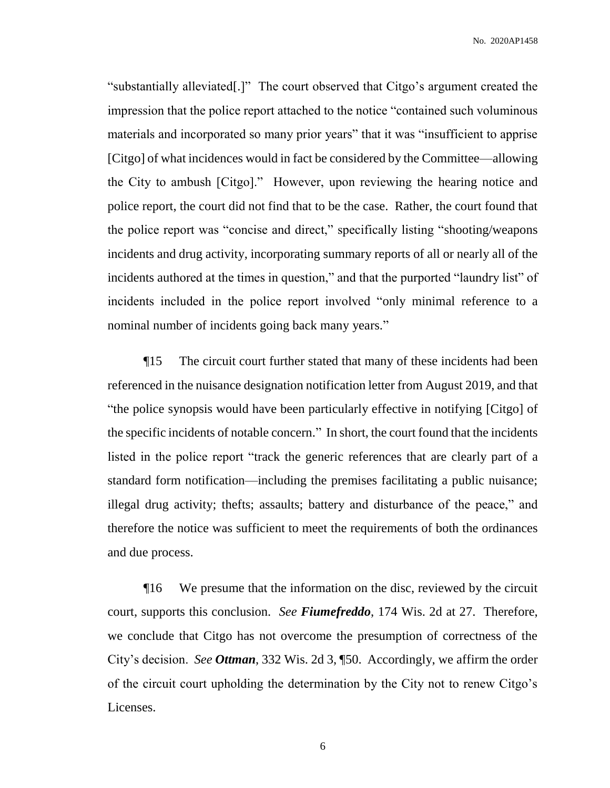"substantially alleviated[.]" The court observed that Citgo's argument created the impression that the police report attached to the notice "contained such voluminous materials and incorporated so many prior years" that it was "insufficient to apprise [Citgo] of what incidences would in fact be considered by the Committee—allowing the City to ambush [Citgo]." However, upon reviewing the hearing notice and police report, the court did not find that to be the case. Rather, the court found that the police report was "concise and direct," specifically listing "shooting/weapons incidents and drug activity, incorporating summary reports of all or nearly all of the incidents authored at the times in question," and that the purported "laundry list" of incidents included in the police report involved "only minimal reference to a nominal number of incidents going back many years."

¶15 The circuit court further stated that many of these incidents had been referenced in the nuisance designation notification letter from August 2019, and that "the police synopsis would have been particularly effective in notifying [Citgo] of the specific incidents of notable concern." In short, the court found that the incidents listed in the police report "track the generic references that are clearly part of a standard form notification—including the premises facilitating a public nuisance; illegal drug activity; thefts; assaults; battery and disturbance of the peace," and therefore the notice was sufficient to meet the requirements of both the ordinances and due process.

¶16 We presume that the information on the disc, reviewed by the circuit court, supports this conclusion. *See Fiumefreddo*, 174 Wis. 2d at 27. Therefore, we conclude that Citgo has not overcome the presumption of correctness of the City's decision. *See Ottman*, 332 Wis. 2d 3, ¶50. Accordingly, we affirm the order of the circuit court upholding the determination by the City not to renew Citgo's Licenses.

6